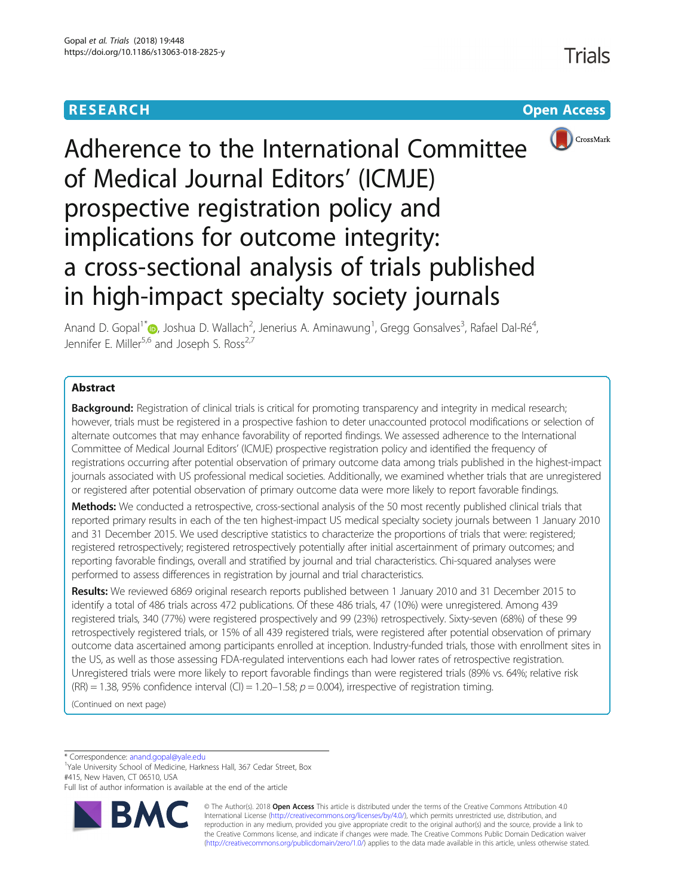# **RESEARCH CONSIDERED ACCESS**



# Adherence to the International Committee of Medical Journal Editors' (ICMJE) prospective registration policy and implications for outcome integrity: a cross-sectional analysis of trials published in high-impact specialty society journals

Anand D. Gopal<sup>1[\\*](http://orcid.org/0000-0002-5386-5396)</sup> (**p**, Joshua D. Wallach<sup>2</sup>, Jenerius A. Aminawung<sup>1</sup>, Gregg Gonsalves<sup>3</sup>, Rafael Dal-Ré<sup>4</sup> , Jennifer E. Miller<sup>5,6</sup> and Joseph S. Ross<sup>2,7</sup>

# Abstract

**Background:** Registration of clinical trials is critical for promoting transparency and integrity in medical research; however, trials must be registered in a prospective fashion to deter unaccounted protocol modifications or selection of alternate outcomes that may enhance favorability of reported findings. We assessed adherence to the International Committee of Medical Journal Editors' (ICMJE) prospective registration policy and identified the frequency of registrations occurring after potential observation of primary outcome data among trials published in the highest-impact journals associated with US professional medical societies. Additionally, we examined whether trials that are unregistered or registered after potential observation of primary outcome data were more likely to report favorable findings.

Methods: We conducted a retrospective, cross-sectional analysis of the 50 most recently published clinical trials that reported primary results in each of the ten highest-impact US medical specialty society journals between 1 January 2010 and 31 December 2015. We used descriptive statistics to characterize the proportions of trials that were: registered; registered retrospectively; registered retrospectively potentially after initial ascertainment of primary outcomes; and reporting favorable findings, overall and stratified by journal and trial characteristics. Chi-squared analyses were performed to assess differences in registration by journal and trial characteristics.

Results: We reviewed 6869 original research reports published between 1 January 2010 and 31 December 2015 to identify a total of 486 trials across 472 publications. Of these 486 trials, 47 (10%) were unregistered. Among 439 registered trials, 340 (77%) were registered prospectively and 99 (23%) retrospectively. Sixty-seven (68%) of these 99 retrospectively registered trials, or 15% of all 439 registered trials, were registered after potential observation of primary outcome data ascertained among participants enrolled at inception. Industry-funded trials, those with enrollment sites in the US, as well as those assessing FDA-regulated interventions each had lower rates of retrospective registration. Unregistered trials were more likely to report favorable findings than were registered trials (89% vs. 64%; relative risk (RR) = 1.38, 95% confidence interval (CI) = 1.20-1.58;  $p = 0.004$ ), irrespective of registration timing.

(Continued on next page)

\* Correspondence: [anand.gopal@yale.edu](mailto:anand.gopal@yale.edu) <sup>1</sup>

<sup>1</sup>Yale University School of Medicine, Harkness Hall, 367 Cedar Street, Box #415, New Haven, CT 06510, USA

Full list of author information is available at the end of the article



© The Author(s). 2018 **Open Access** This article is distributed under the terms of the Creative Commons Attribution 4.0 International License [\(http://creativecommons.org/licenses/by/4.0/](http://creativecommons.org/licenses/by/4.0/)), which permits unrestricted use, distribution, and reproduction in any medium, provided you give appropriate credit to the original author(s) and the source, provide a link to the Creative Commons license, and indicate if changes were made. The Creative Commons Public Domain Dedication waiver [\(http://creativecommons.org/publicdomain/zero/1.0/](http://creativecommons.org/publicdomain/zero/1.0/)) applies to the data made available in this article, unless otherwise stated.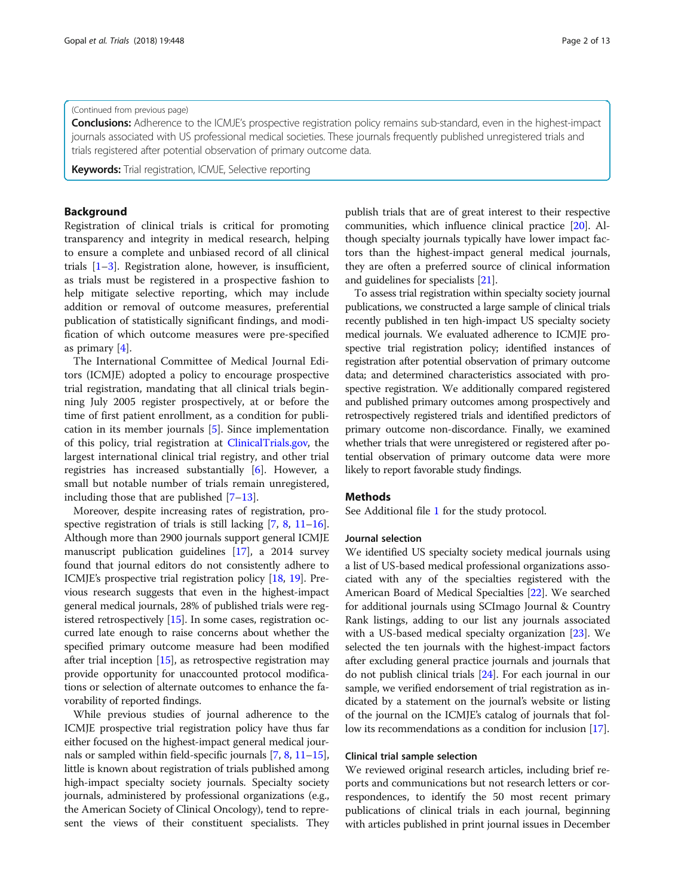# (Continued from previous page)

Conclusions: Adherence to the ICMJE's prospective registration policy remains sub-standard, even in the highest-impact journals associated with US professional medical societies. These journals frequently published unregistered trials and trials registered after potential observation of primary outcome data.

**Keywords:** Trial registration, ICMJE, Selective reporting

# Background

Registration of clinical trials is critical for promoting transparency and integrity in medical research, helping to ensure a complete and unbiased record of all clinical trials  $[1-3]$  $[1-3]$  $[1-3]$  $[1-3]$ . Registration alone, however, is insufficient, as trials must be registered in a prospective fashion to help mitigate selective reporting, which may include addition or removal of outcome measures, preferential publication of statistically significant findings, and modification of which outcome measures were pre-specified as primary [\[4](#page-11-0)].

The International Committee of Medical Journal Editors (ICMJE) adopted a policy to encourage prospective trial registration, mandating that all clinical trials beginning July 2005 register prospectively, at or before the time of first patient enrollment, as a condition for publication in its member journals [[5\]](#page-11-0). Since implementation of this policy, trial registration at [ClinicalTrials.gov,](http://clinicaltrials.gov) the largest international clinical trial registry, and other trial registries has increased substantially [[6\]](#page-11-0). However, a small but notable number of trials remain unregistered, including those that are published [[7](#page-11-0)–[13](#page-11-0)].

Moreover, despite increasing rates of registration, prospective registration of trials is still lacking  $[7, 8, 11-16]$  $[7, 8, 11-16]$  $[7, 8, 11-16]$  $[7, 8, 11-16]$  $[7, 8, 11-16]$  $[7, 8, 11-16]$  $[7, 8, 11-16]$  $[7, 8, 11-16]$ . Although more than 2900 journals support general ICMJE manuscript publication guidelines [\[17\]](#page-11-0), a 2014 survey found that journal editors do not consistently adhere to ICMJE's prospective trial registration policy [\[18,](#page-11-0) [19\]](#page-11-0). Previous research suggests that even in the highest-impact general medical journals, 28% of published trials were registered retrospectively [\[15\]](#page-11-0). In some cases, registration occurred late enough to raise concerns about whether the specified primary outcome measure had been modified after trial inception [[15\]](#page-11-0), as retrospective registration may provide opportunity for unaccounted protocol modifications or selection of alternate outcomes to enhance the favorability of reported findings.

While previous studies of journal adherence to the ICMJE prospective trial registration policy have thus far either focused on the highest-impact general medical journals or sampled within field-specific journals [\[7,](#page-11-0) [8](#page-11-0), [11](#page-11-0)–[15](#page-11-0)], little is known about registration of trials published among high-impact specialty society journals. Specialty society journals, administered by professional organizations (e.g., the American Society of Clinical Oncology), tend to represent the views of their constituent specialists. They publish trials that are of great interest to their respective communities, which influence clinical practice [\[20\]](#page-11-0). Although specialty journals typically have lower impact factors than the highest-impact general medical journals, they are often a preferred source of clinical information and guidelines for specialists [\[21\]](#page-11-0).

To assess trial registration within specialty society journal publications, we constructed a large sample of clinical trials recently published in ten high-impact US specialty society medical journals. We evaluated adherence to ICMJE prospective trial registration policy; identified instances of registration after potential observation of primary outcome data; and determined characteristics associated with prospective registration. We additionally compared registered and published primary outcomes among prospectively and retrospectively registered trials and identified predictors of primary outcome non-discordance. Finally, we examined whether trials that were unregistered or registered after potential observation of primary outcome data were more likely to report favorable study findings.

# Methods

See Additional file [1](#page-10-0) for the study protocol.

# Journal selection

We identified US specialty society medical journals using a list of US-based medical professional organizations associated with any of the specialties registered with the American Board of Medical Specialties [\[22\]](#page-11-0). We searched for additional journals using SCImago Journal & Country Rank listings, adding to our list any journals associated with a US-based medical specialty organization [[23](#page-11-0)]. We selected the ten journals with the highest-impact factors after excluding general practice journals and journals that do not publish clinical trials [\[24\]](#page-11-0). For each journal in our sample, we verified endorsement of trial registration as indicated by a statement on the journal's website or listing of the journal on the ICMJE's catalog of journals that follow its recommendations as a condition for inclusion [\[17\]](#page-11-0).

# Clinical trial sample selection

We reviewed original research articles, including brief reports and communications but not research letters or correspondences, to identify the 50 most recent primary publications of clinical trials in each journal, beginning with articles published in print journal issues in December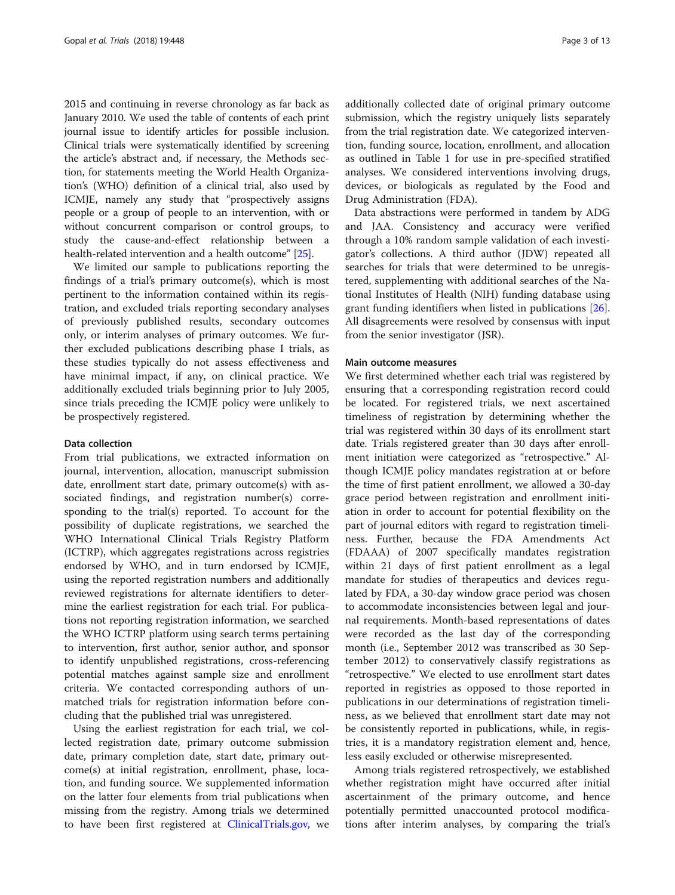2015 and continuing in reverse chronology as far back as January 2010. We used the table of contents of each print journal issue to identify articles for possible inclusion. Clinical trials were systematically identified by screening the article's abstract and, if necessary, the Methods section, for statements meeting the World Health Organization's (WHO) definition of a clinical trial, also used by ICMJE, namely any study that "prospectively assigns people or a group of people to an intervention, with or without concurrent comparison or control groups, to study the cause-and-effect relationship between a health-related intervention and a health outcome" [\[25\]](#page-11-0).

We limited our sample to publications reporting the findings of a trial's primary outcome(s), which is most pertinent to the information contained within its registration, and excluded trials reporting secondary analyses of previously published results, secondary outcomes only, or interim analyses of primary outcomes. We further excluded publications describing phase I trials, as these studies typically do not assess effectiveness and have minimal impact, if any, on clinical practice. We additionally excluded trials beginning prior to July 2005, since trials preceding the ICMJE policy were unlikely to be prospectively registered.

#### Data collection

From trial publications, we extracted information on journal, intervention, allocation, manuscript submission date, enrollment start date, primary outcome(s) with associated findings, and registration number(s) corresponding to the trial(s) reported. To account for the possibility of duplicate registrations, we searched the WHO International Clinical Trials Registry Platform (ICTRP), which aggregates registrations across registries endorsed by WHO, and in turn endorsed by ICMJE, using the reported registration numbers and additionally reviewed registrations for alternate identifiers to determine the earliest registration for each trial. For publications not reporting registration information, we searched the WHO ICTRP platform using search terms pertaining to intervention, first author, senior author, and sponsor to identify unpublished registrations, cross-referencing potential matches against sample size and enrollment criteria. We contacted corresponding authors of unmatched trials for registration information before concluding that the published trial was unregistered.

Using the earliest registration for each trial, we collected registration date, primary outcome submission date, primary completion date, start date, primary outcome(s) at initial registration, enrollment, phase, location, and funding source. We supplemented information on the latter four elements from trial publications when missing from the registry. Among trials we determined to have been first registered at [ClinicalTrials.gov,](http://clinicaltrials.gov) we additionally collected date of original primary outcome submission, which the registry uniquely lists separately from the trial registration date. We categorized intervention, funding source, location, enrollment, and allocation as outlined in Table [1](#page-3-0) for use in pre-specified stratified analyses. We considered interventions involving drugs, devices, or biologicals as regulated by the Food and Drug Administration (FDA).

Data abstractions were performed in tandem by ADG and JAA. Consistency and accuracy were verified through a 10% random sample validation of each investigator's collections. A third author (JDW) repeated all searches for trials that were determined to be unregistered, supplementing with additional searches of the National Institutes of Health (NIH) funding database using grant funding identifiers when listed in publications [\[26](#page-11-0)]. All disagreements were resolved by consensus with input from the senior investigator (JSR).

# Main outcome measures

We first determined whether each trial was registered by ensuring that a corresponding registration record could be located. For registered trials, we next ascertained timeliness of registration by determining whether the trial was registered within 30 days of its enrollment start date. Trials registered greater than 30 days after enrollment initiation were categorized as "retrospective." Although ICMJE policy mandates registration at or before the time of first patient enrollment, we allowed a 30-day grace period between registration and enrollment initiation in order to account for potential flexibility on the part of journal editors with regard to registration timeliness. Further, because the FDA Amendments Act (FDAAA) of 2007 specifically mandates registration within 21 days of first patient enrollment as a legal mandate for studies of therapeutics and devices regulated by FDA, a 30-day window grace period was chosen to accommodate inconsistencies between legal and journal requirements. Month-based representations of dates were recorded as the last day of the corresponding month (i.e., September 2012 was transcribed as 30 September 2012) to conservatively classify registrations as "retrospective." We elected to use enrollment start dates reported in registries as opposed to those reported in publications in our determinations of registration timeliness, as we believed that enrollment start date may not be consistently reported in publications, while, in registries, it is a mandatory registration element and, hence, less easily excluded or otherwise misrepresented.

Among trials registered retrospectively, we established whether registration might have occurred after initial ascertainment of the primary outcome, and hence potentially permitted unaccounted protocol modifications after interim analyses, by comparing the trial's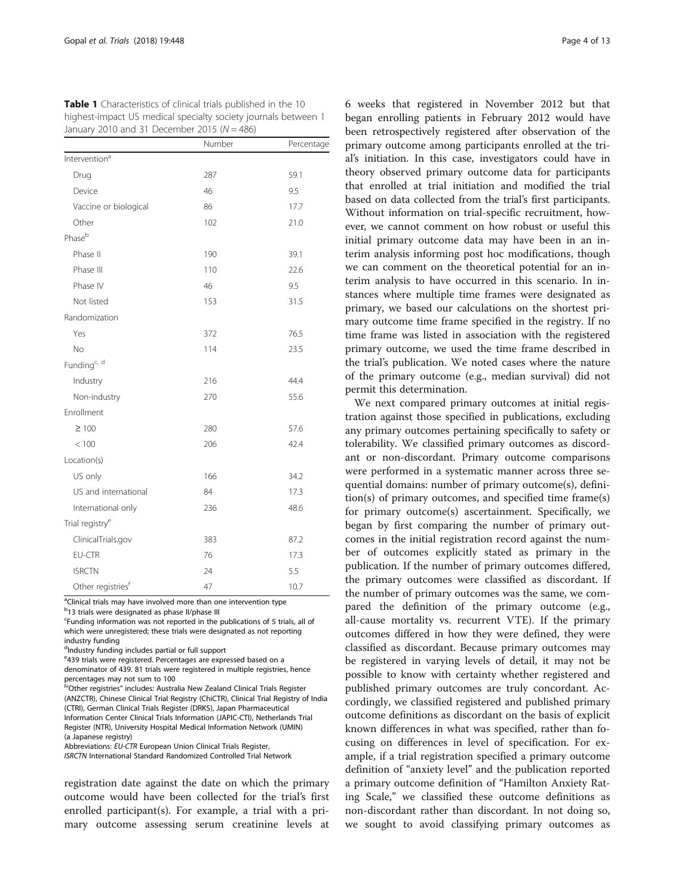<span id="page-3-0"></span>Table 1 Characteristics of clinical trials published in the 10 highest-impact US medical specialty society journals between 1 January 2010 and 31 December 2015 ( $N = 486$ )

|                               | Number | Percentage   |  |  |
|-------------------------------|--------|--------------|--|--|
| Intervention <sup>a</sup>     |        |              |  |  |
| Drug                          | 287    | 59.1         |  |  |
| Device                        | 46     | 9.5          |  |  |
| Vaccine or biological         | 86     | 17.7<br>21.0 |  |  |
| Other                         | 102    |              |  |  |
| Phaseb                        |        |              |  |  |
| Phase II                      | 190    | 39.1         |  |  |
| Phase III                     | 110    | 22.6         |  |  |
| Phase IV                      | 46     | 9.5          |  |  |
| Not listed                    | 153    | 31.5         |  |  |
| Randomization                 |        |              |  |  |
| Yes                           | 372    | 76.5         |  |  |
| <b>No</b>                     | 114    | 23.5         |  |  |
| Funding <sup>c, d</sup>       |        |              |  |  |
| Industry                      | 216    | 44.4         |  |  |
| Non-industry                  | 270    | 55.6         |  |  |
| Enrollment                    |        |              |  |  |
| $\geq 100$                    | 280    | 57.6         |  |  |
| < 100                         | 206    | 42.4         |  |  |
| Location(s)                   |        |              |  |  |
| US only                       | 166    | 34.2         |  |  |
| US and international          | 84     | 17.3         |  |  |
| International only            | 236    | 48.6         |  |  |
| Trial registry <sup>e</sup>   |        |              |  |  |
| ClinicalTrials.gov            | 383    | 87.2         |  |  |
| <b>EU-CTR</b>                 | 76     | 17.3         |  |  |
| <b>ISRCTN</b>                 | 24     | 5.5          |  |  |
| Other registries <sup>f</sup> | 47     | 10.7         |  |  |

<sup>a</sup>Clinical trials may have involved more than one intervention type <sup>b</sup>13 trials were designated as phase II/phase III

Funding information was not reported in the publications of 5 trials, all of which were unregistered; these trials were designated as not reporting industry funding

d<sub>Industry funding includes partial or full support</sub>

e 439 trials were registered. Percentages are expressed based on a denominator of 439. 81 trials were registered in multiple registries, hence percentages may not sum to 100

frOther registries" includes: Australia New Zealand Clinical Trials Register (ANZCTR), Chinese Clinical Trial Registry (ChiCTR), Clinical Trial Registry of India (CTRI), German Clinical Trials Register (DRKS), Japan Pharmaceutical Information Center Clinical Trials Information (JAPIC-CTI), Netherlands Trial Register (NTR), University Hospital Medical Information Network (UMIN) (a Japanese registry)

Abbreviations: EU-CTR European Union Clinical Trials Register,

ISRCTN International Standard Randomized Controlled Trial Network

registration date against the date on which the primary outcome would have been collected for the trial's first enrolled participant(s). For example, a trial with a primary outcome assessing serum creatinine levels at 6 weeks that registered in November 2012 but that began enrolling patients in February 2012 would have been retrospectively registered after observation of the primary outcome among participants enrolled at the trial's initiation. In this case, investigators could have in theory observed primary outcome data for participants that enrolled at trial initiation and modified the trial based on data collected from the trial's first participants. Without information on trial-specific recruitment, however, we cannot comment on how robust or useful this initial primary outcome data may have been in an interim analysis informing post hoc modifications, though we can comment on the theoretical potential for an interim analysis to have occurred in this scenario. In instances where multiple time frames were designated as primary, we based our calculations on the shortest primary outcome time frame specified in the registry. If no time frame was listed in association with the registered primary outcome, we used the time frame described in the trial's publication. We noted cases where the nature of the primary outcome (e.g., median survival) did not permit this determination.

We next compared primary outcomes at initial registration against those specified in publications, excluding any primary outcomes pertaining specifically to safety or tolerability. We classified primary outcomes as discordant or non-discordant. Primary outcome comparisons were performed in a systematic manner across three sequential domains: number of primary outcome(s), definition(s) of primary outcomes, and specified time frame(s) for primary outcome(s) ascertainment. Specifically, we began by first comparing the number of primary outcomes in the initial registration record against the number of outcomes explicitly stated as primary in the publication. If the number of primary outcomes differed, the primary outcomes were classified as discordant. If the number of primary outcomes was the same, we compared the definition of the primary outcome (e.g., all-cause mortality vs. recurrent VTE). If the primary outcomes differed in how they were defined, they were classified as discordant. Because primary outcomes may be registered in varying levels of detail, it may not be possible to know with certainty whether registered and published primary outcomes are truly concordant. Accordingly, we classified registered and published primary outcome definitions as discordant on the basis of explicit known differences in what was specified, rather than focusing on differences in level of specification. For example, if a trial registration specified a primary outcome definition of "anxiety level" and the publication reported a primary outcome definition of "Hamilton Anxiety Rating Scale," we classified these outcome definitions as non-discordant rather than discordant. In not doing so, we sought to avoid classifying primary outcomes as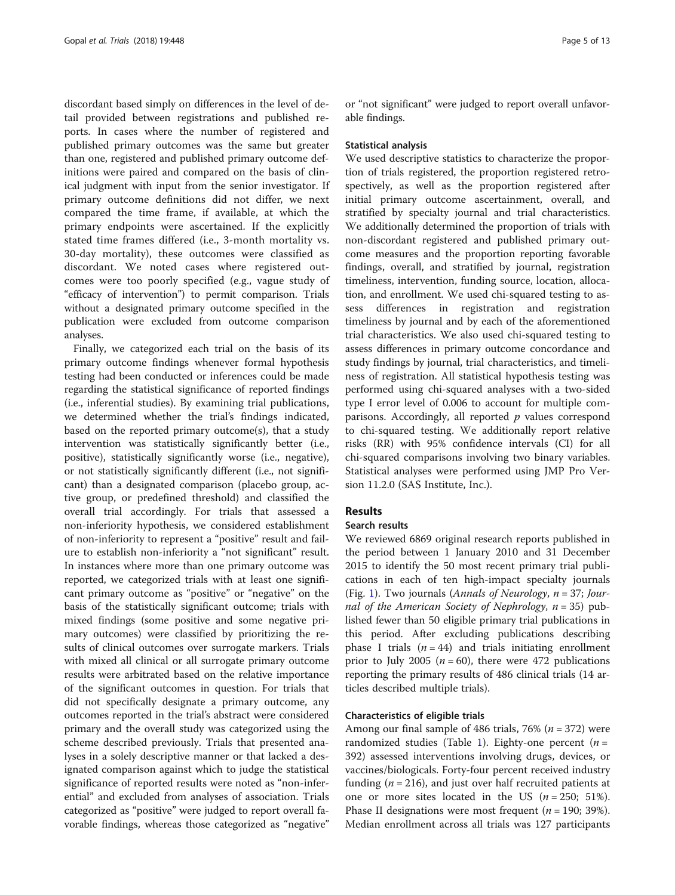discordant based simply on differences in the level of detail provided between registrations and published reports. In cases where the number of registered and published primary outcomes was the same but greater than one, registered and published primary outcome definitions were paired and compared on the basis of clinical judgment with input from the senior investigator. If primary outcome definitions did not differ, we next compared the time frame, if available, at which the primary endpoints were ascertained. If the explicitly stated time frames differed (i.e., 3-month mortality vs. 30-day mortality), these outcomes were classified as discordant. We noted cases where registered outcomes were too poorly specified (e.g., vague study of "efficacy of intervention") to permit comparison. Trials without a designated primary outcome specified in the publication were excluded from outcome comparison analyses.

Finally, we categorized each trial on the basis of its primary outcome findings whenever formal hypothesis testing had been conducted or inferences could be made regarding the statistical significance of reported findings (i.e., inferential studies). By examining trial publications, we determined whether the trial's findings indicated, based on the reported primary outcome(s), that a study intervention was statistically significantly better (i.e., positive), statistically significantly worse (i.e., negative), or not statistically significantly different (i.e., not significant) than a designated comparison (placebo group, active group, or predefined threshold) and classified the overall trial accordingly. For trials that assessed a non-inferiority hypothesis, we considered establishment of non-inferiority to represent a "positive" result and failure to establish non-inferiority a "not significant" result. In instances where more than one primary outcome was reported, we categorized trials with at least one significant primary outcome as "positive" or "negative" on the basis of the statistically significant outcome; trials with mixed findings (some positive and some negative primary outcomes) were classified by prioritizing the results of clinical outcomes over surrogate markers. Trials with mixed all clinical or all surrogate primary outcome results were arbitrated based on the relative importance of the significant outcomes in question. For trials that did not specifically designate a primary outcome, any outcomes reported in the trial's abstract were considered primary and the overall study was categorized using the scheme described previously. Trials that presented analyses in a solely descriptive manner or that lacked a designated comparison against which to judge the statistical significance of reported results were noted as "non-inferential" and excluded from analyses of association. Trials categorized as "positive" were judged to report overall favorable findings, whereas those categorized as "negative" or "not significant" were judged to report overall unfavorable findings.

#### Statistical analysis

We used descriptive statistics to characterize the proportion of trials registered, the proportion registered retrospectively, as well as the proportion registered after initial primary outcome ascertainment, overall, and stratified by specialty journal and trial characteristics. We additionally determined the proportion of trials with non-discordant registered and published primary outcome measures and the proportion reporting favorable findings, overall, and stratified by journal, registration timeliness, intervention, funding source, location, allocation, and enrollment. We used chi-squared testing to assess differences in registration and registration timeliness by journal and by each of the aforementioned trial characteristics. We also used chi-squared testing to assess differences in primary outcome concordance and study findings by journal, trial characteristics, and timeliness of registration. All statistical hypothesis testing was performed using chi-squared analyses with a two-sided type I error level of 0.006 to account for multiple comparisons. Accordingly, all reported  $p$  values correspond to chi-squared testing. We additionally report relative risks (RR) with 95% confidence intervals (CI) for all chi-squared comparisons involving two binary variables. Statistical analyses were performed using JMP Pro Version 11.2.0 (SAS Institute, Inc.).

# Results

# Search results

We reviewed 6869 original research reports published in the period between 1 January 2010 and 31 December 2015 to identify the 50 most recent primary trial publications in each of ten high-impact specialty journals (Fig. [1\)](#page-5-0). Two journals (Annals of Neurology,  $n = 37$ ; Journal of the American Society of Nephrology,  $n = 35$ ) published fewer than 50 eligible primary trial publications in this period. After excluding publications describing phase I trials  $(n = 44)$  and trials initiating enrollment prior to July 2005 ( $n = 60$ ), there were 472 publications reporting the primary results of 486 clinical trials (14 articles described multiple trials).

# Characteristics of eligible trials

Among our final sample of 486 trials, 76% ( $n = 372$ ) were randomized studies (Table [1\)](#page-3-0). Eighty-one percent ( $n =$ 392) assessed interventions involving drugs, devices, or vaccines/biologicals. Forty-four percent received industry funding ( $n = 216$ ), and just over half recruited patients at one or more sites located in the US  $(n = 250; 51\%).$ Phase II designations were most frequent ( $n = 190$ ; 39%). Median enrollment across all trials was 127 participants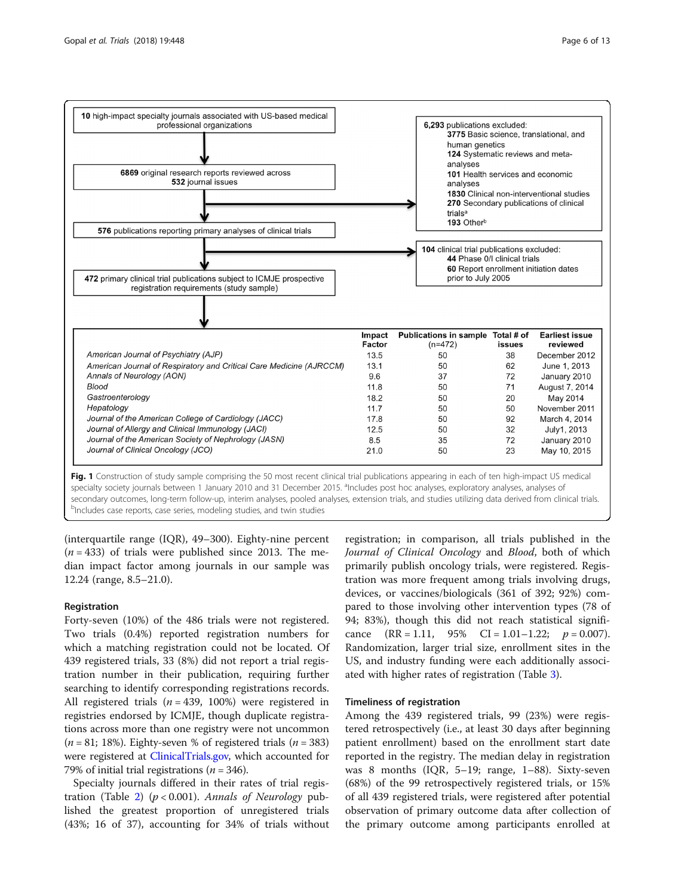<span id="page-5-0"></span>

secondary outcomes, long-term follow-up, interim analyses, pooled analyses, extension trials, and studies utilizing data derived from clinical trials. <sup>b</sup>Includes case reports, case series, modeling studies, and twin studies

(interquartile range (IQR), 49–300). Eighty-nine percent  $(n = 433)$  of trials were published since 2013. The median impact factor among journals in our sample was 12.24 (range, 8.5–21.0).

# Registration

Forty-seven (10%) of the 486 trials were not registered. Two trials (0.4%) reported registration numbers for which a matching registration could not be located. Of 439 registered trials, 33 (8%) did not report a trial registration number in their publication, requiring further searching to identify corresponding registrations records. All registered trials ( $n = 439$ , 100%) were registered in registries endorsed by ICMJE, though duplicate registrations across more than one registry were not uncommon  $(n = 81; 18%)$ . Eighty-seven % of registered trials  $(n = 383)$ were registered at [ClinicalTrials.gov,](http://clinicaltrials.gov) which accounted for 79% of initial trial registrations ( $n = 346$ ).

Specialty journals differed in their rates of trial regis-tration (Table [2\)](#page-6-0) ( $p < 0.001$ ). Annals of Neurology published the greatest proportion of unregistered trials (43%; 16 of 37), accounting for 34% of trials without

registration; in comparison, all trials published in the Journal of Clinical Oncology and Blood, both of which primarily publish oncology trials, were registered. Registration was more frequent among trials involving drugs, devices, or vaccines/biologicals (361 of 392; 92%) compared to those involving other intervention types (78 of 94; 83%), though this did not reach statistical significance  $(RR = 1.11, 95\% \text{ CI} = 1.01 - 1.22; p = 0.007).$ Randomization, larger trial size, enrollment sites in the US, and industry funding were each additionally associated with higher rates of registration (Table [3\)](#page-7-0).

# Timeliness of registration

Among the 439 registered trials, 99 (23%) were registered retrospectively (i.e., at least 30 days after beginning patient enrollment) based on the enrollment start date reported in the registry. The median delay in registration was 8 months (IQR, 5–19; range, 1–88). Sixty-seven (68%) of the 99 retrospectively registered trials, or 15% of all 439 registered trials, were registered after potential observation of primary outcome data after collection of the primary outcome among participants enrolled at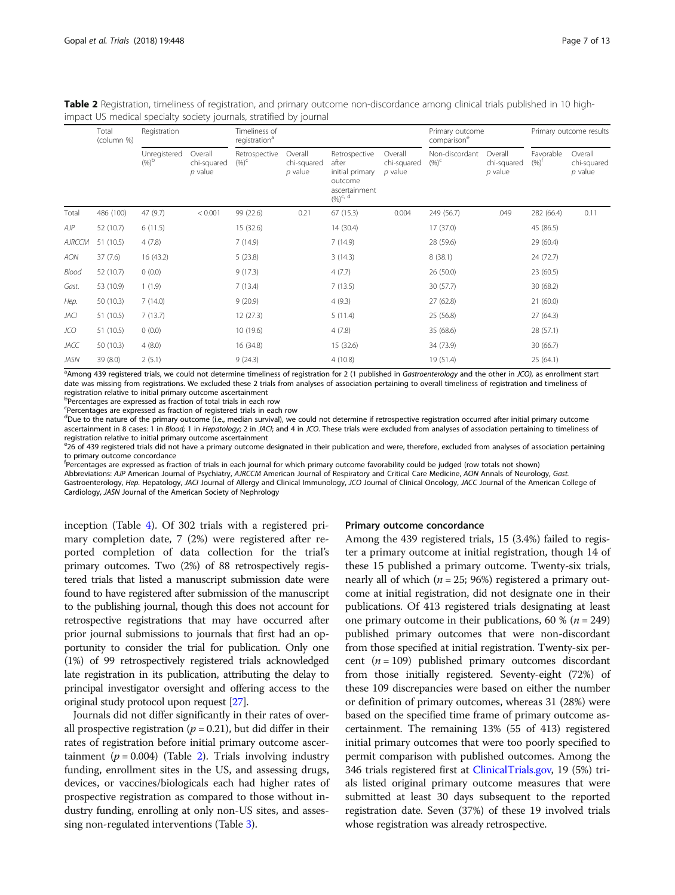|        | Total      | Registration                  |                                     | impact US medical specialty society journals, stratified by journal<br>Timeliness of |                                     |                                                                                        |                                     | Primary outcome            |                                     | Primary outcome results          |                                     |
|--------|------------|-------------------------------|-------------------------------------|--------------------------------------------------------------------------------------|-------------------------------------|----------------------------------------------------------------------------------------|-------------------------------------|----------------------------|-------------------------------------|----------------------------------|-------------------------------------|
|        | (column %) |                               |                                     | registration <sup>a</sup>                                                            |                                     |                                                                                        |                                     | comparison <sup>e</sup>    |                                     |                                  |                                     |
|        |            | Unregistered<br>$(%)^{\circ}$ | Overall<br>chi-squared<br>$p$ value | Retrospective<br>$(96)^c$                                                            | Overall<br>chi-squared<br>$p$ value | Retrospective<br>after<br>initial primary<br>outcome<br>ascertainment<br>$(96)^{c, d}$ | Overall<br>chi-squared<br>$p$ value | Non-discordant<br>$(96)^c$ | Overall<br>chi-squared<br>$p$ value | Favorable<br>$(96)$ <sup>t</sup> | Overall<br>chi-squared<br>$p$ value |
| Total  | 486 (100)  | 47 (9.7)                      | < 0.001                             | 99 (22.6)                                                                            | 0.21                                | 67(15.3)                                                                               | 0.004                               | 249 (56.7)                 | .049                                | 282 (66.4)                       | 0.11                                |
| AЈР    | 52 (10.7)  | 6(11.5)                       |                                     | 15 (32.6)                                                                            |                                     | 14 (30.4)                                                                              |                                     | 17(37.0)                   |                                     | 45 (86.5)                        |                                     |
| AJRCCM | 51 (10.5)  | 4(7.8)                        |                                     | 7(14.9)                                                                              |                                     | 7(14.9)                                                                                |                                     | 28 (59.6)                  |                                     | 29 (60.4)                        |                                     |
| AON    | 37(7.6)    | 16 (43.2)                     |                                     | 5(23.8)                                                                              |                                     | 3(14.3)                                                                                |                                     | 8(38.1)                    |                                     | 24 (72.7)                        |                                     |
| Blood  | 52 (10.7)  | 0(0.0)                        |                                     | 9(17.3)                                                                              |                                     | 4(7.7)                                                                                 |                                     | 26(50.0)                   |                                     | 23 (60.5)                        |                                     |
| Gast.  | 53 (10.9)  | 1(1.9)                        |                                     | 7(13.4)                                                                              |                                     | 7(13.5)                                                                                |                                     | 30 (57.7)                  |                                     | 30(68.2)                         |                                     |
| Hep.   | 50 (10.3)  | 7(14.0)                       |                                     | 9(20.9)                                                                              |                                     | 4(9.3)                                                                                 |                                     | 27(62.8)                   |                                     | 21(60.0)                         |                                     |
| JACI   | 51 (10.5)  | 7(13.7)                       |                                     | 12(27.3)                                                                             |                                     | 5(11.4)                                                                                |                                     | 25 (56.8)                  |                                     | 27(64.3)                         |                                     |
| JCO    | 51 (10.5)  | 0(0.0)                        |                                     | 10 (19.6)                                                                            |                                     | 4(7.8)                                                                                 |                                     | 35 (68.6)                  |                                     | 28 (57.1)                        |                                     |
| JACC   | 50 (10.3)  | 4(8.0)                        |                                     | 16 (34.8)                                                                            |                                     | 15 (32.6)                                                                              |                                     | 34 (73.9)                  |                                     | 30(66.7)                         |                                     |

<span id="page-6-0"></span>Table 2 Registration, timeliness of registration, and primary outcome non-discordance among clinical trials published in 10 highimpact US medical specialty society journals, stratified by journal

<sup>a</sup>Among 439 registered trials, we could not determine timeliness of registration for 2 (1 published in Gastroenterology and the other in JCO), as enrollment start date was missing from registrations. We excluded these 2 trials from analyses of association pertaining to overall timeliness of registration and timeliness of registration relative to initial primary outcome ascertainment

JASN 39 (8.0) 2 (5.1) 9 (24.3) 4 (10.8) 19 (51.4) 25 (64.1)

b Percentages are expressed as fraction of total trials in each row

Percentages are expressed as fraction of registered trials in each row

dDue to the nature of the primary outcome (i.e., median survival), we could not determine if retrospective registration occurred after initial primary outcome ascertainment in 8 cases: 1 in Blood; 1 in Hepatology; 2 in JACI; and 4 in JCO. These trials were excluded from analyses of association pertaining to timeliness of registration relative to initial primary outcome ascertainment

ezo of 439 registered trials did not have a primary outcome designated in their publication and were, therefore, excluded from analyses of association pertaining to primary outcome concordance

f Percentages are expressed as fraction of trials in each journal for which primary outcome favorability could be judged (row totals not shown)

Abbreviations: AJP American Journal of Psychiatry, AJRCCM American Journal of Respiratory and Critical Care Medicine, AON Annals of Neurology, Gast. Gastroenterology, Hep. Hepatology, JACI Journal of Allergy and Clinical Immunology, JCO Journal of Clinical Oncology, JACC Journal of the American College of Cardiology, JASN Journal of the American Society of Nephrology

inception (Table [4\)](#page-8-0). Of 302 trials with a registered primary completion date, 7 (2%) were registered after reported completion of data collection for the trial's primary outcomes. Two (2%) of 88 retrospectively registered trials that listed a manuscript submission date were found to have registered after submission of the manuscript to the publishing journal, though this does not account for retrospective registrations that may have occurred after prior journal submissions to journals that first had an opportunity to consider the trial for publication. Only one (1%) of 99 retrospectively registered trials acknowledged late registration in its publication, attributing the delay to principal investigator oversight and offering access to the original study protocol upon request [\[27\]](#page-11-0).

Journals did not differ significantly in their rates of overall prospective registration ( $p = 0.21$ ), but did differ in their rates of registration before initial primary outcome ascertainment ( $p = 0.004$ ) (Table 2). Trials involving industry funding, enrollment sites in the US, and assessing drugs, devices, or vaccines/biologicals each had higher rates of prospective registration as compared to those without industry funding, enrolling at only non-US sites, and assessing non-regulated interventions (Table [3\)](#page-7-0).

#### Primary outcome concordance

Among the 439 registered trials, 15 (3.4%) failed to register a primary outcome at initial registration, though 14 of these 15 published a primary outcome. Twenty-six trials, nearly all of which ( $n = 25$ ; 96%) registered a primary outcome at initial registration, did not designate one in their publications. Of 413 registered trials designating at least one primary outcome in their publications, 60 % ( $n = 249$ ) published primary outcomes that were non-discordant from those specified at initial registration. Twenty-six percent  $(n = 109)$  published primary outcomes discordant from those initially registered. Seventy-eight (72%) of these 109 discrepancies were based on either the number or definition of primary outcomes, whereas 31 (28%) were based on the specified time frame of primary outcome ascertainment. The remaining 13% (55 of 413) registered initial primary outcomes that were too poorly specified to permit comparison with published outcomes. Among the 346 trials registered first at [ClinicalTrials.gov,](http://clinicaltrials.gov) 19 (5%) trials listed original primary outcome measures that were submitted at least 30 days subsequent to the reported registration date. Seven (37%) of these 19 involved trials whose registration was already retrospective.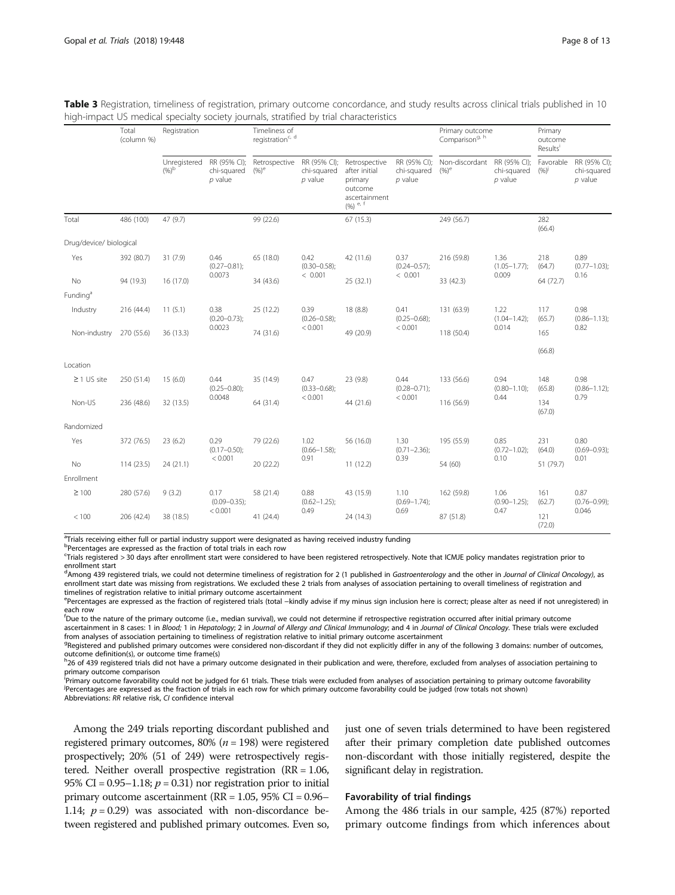<span id="page-7-0"></span>

| Table 3 Registration, timeliness of registration, primary outcome concordance, and study results across clinical trials published in 10 |  |
|-----------------------------------------------------------------------------------------------------------------------------------------|--|
| high-impact US medical specialty society journals, stratified by trial characteristics                                                  |  |

|                         | Total<br>(column %) | Registration                                             |                                          | Timeliness of<br>registration <sup>c, d</sup> |                                          |                                                                                      |                                          | Primary outcome<br>Comparison <sup>g, h</sup> |                                                                     | Primary<br>outcome<br>Results <sup>i</sup> |                                          |
|-------------------------|---------------------|----------------------------------------------------------|------------------------------------------|-----------------------------------------------|------------------------------------------|--------------------------------------------------------------------------------------|------------------------------------------|-----------------------------------------------|---------------------------------------------------------------------|--------------------------------------------|------------------------------------------|
|                         |                     | Unregistered<br>$(96)^{b}$                               | RR (95% CI);<br>chi-squared<br>$p$ value | Retrospective<br>$(9/6)^e$                    | RR (95% CI);<br>chi-squared<br>$p$ value | Retrospective<br>after initial<br>primary<br>outcome<br>ascertainment<br>$(96)$ e, f | RR (95% CI);<br>chi-squared<br>$p$ value | Non-discordant<br>$(96)$ <sup>e</sup>         | RR (95% CI);<br>chi-squared<br>$p$ value                            | Favorable<br>$(96)^{j}$                    | RR (95% CI);<br>chi-squared<br>$p$ value |
| Total                   | 486 (100)           | 47 (9.7)                                                 |                                          | 99 (22.6)                                     |                                          | 67 (15.3)                                                                            |                                          | 249 (56.7)                                    |                                                                     | 282<br>(66.4)                              |                                          |
| Drug/device/ biological |                     |                                                          |                                          |                                               |                                          |                                                                                      |                                          |                                               |                                                                     |                                            |                                          |
| Yes                     | 392 (80.7)          | 31(7.9)                                                  | 0.46<br>$(0.27 - 0.81)$ ;                | 65 (18.0)                                     | 0.42<br>$(0.30 - 0.58);$                 | 42 (11.6)                                                                            | 0.37<br>$(0.24 - 0.57);$                 | 216 (59.8)                                    | 1.36<br>$(1.05 - 1.77)$ ;                                           | 218<br>(64.7)                              | 0.89<br>$(0.77 - 1.03);$                 |
| No                      | 94 (19.3)           | 16 (17.0)                                                | 0.0073                                   | < 0.001<br>34 (43.6)                          | 25 (32.1)                                | < 0.001                                                                              | 33 (42.3)                                | 0.009                                         | 64 (72.7)                                                           | 0.16                                       |                                          |
| Funding <sup>a</sup>    |                     |                                                          |                                          |                                               |                                          |                                                                                      |                                          |                                               |                                                                     |                                            |                                          |
| Industry                | 216 (44.4)          | 11(5.1)                                                  | 0.38<br>$(0.20 - 0.73);$                 | 25 (12.2)                                     | 0.39<br>$(0.26 - 0.58);$                 | 18 (8.8)                                                                             | 0.41<br>$(0.25 - 0.68);$                 | 131 (63.9)                                    | 1.22<br>$(1.04 - 1.42)$ ;                                           | 117<br>(65.7)                              | 0.98<br>$(0.86 - 1.13);$                 |
| Non-industry            | 270 (55.6)          | 0.0023<br>< 0.001<br>74 (31.6)<br>49 (20.9)<br>36 (13.3) | < 0.001                                  | 0.014<br>118 (50.4)<br>165                    |                                          |                                                                                      | 0.82                                     |                                               |                                                                     |                                            |                                          |
|                         |                     |                                                          |                                          |                                               |                                          |                                                                                      |                                          |                                               |                                                                     | (66.8)                                     |                                          |
| Location                |                     |                                                          |                                          |                                               |                                          |                                                                                      |                                          |                                               |                                                                     |                                            |                                          |
| $\geq$ 1 US site        | 250 (51.4)          | 15(6.0)                                                  | 0.44<br>$(0.25 - 0.80);$                 | 35 (14.9)                                     | 0.47<br>$(0.33 - 0.68);$                 | 23 (9.8)                                                                             | 0.44<br>$(0.28 - 0.71);$<br>< 0.001      | 133 (56.6)                                    | 0.94<br>148<br>$(0.80 - 1.10)$ ;<br>(65.8)<br>0.44<br>134<br>(67.0) |                                            | 0.98<br>$(0.86 - 1.12);$                 |
| Non-US                  | 236 (48.6)          | 32 (13.5)                                                | 0.0048                                   | 64 (31.4)                                     | < 0.001                                  | 44 (21.6)                                                                            |                                          | 116 (56.9)                                    |                                                                     | 0.79                                       |                                          |
| Randomized              |                     |                                                          |                                          |                                               |                                          |                                                                                      |                                          |                                               |                                                                     |                                            |                                          |
| Yes                     | 372 (76.5)          | 23(6.2)                                                  | 0.29<br>$(0.17 - 0.50)$                  | 79 (22.6)                                     | 1.02<br>$(0.66 - 1.58);$<br>0.91         | 56 (16.0)                                                                            | 1.30<br>$(0.71 - 2.36);$<br>0.39         | 195 (55.9)                                    | 0.85<br>$(0.72 - 1.02)$ ;                                           | 231<br>(64.0)<br>51 (79.7)                 | 0.80<br>$(0.69 - 0.93);$<br>0.01         |
| No                      | 114 (23.5)          | 24 (21.1)                                                | < 0.001                                  | 20 (22.2)                                     |                                          | 11(12.2)                                                                             |                                          | 54 (60)                                       | 0.10                                                                |                                            |                                          |
| Enrollment              |                     |                                                          |                                          |                                               |                                          |                                                                                      |                                          |                                               |                                                                     |                                            |                                          |
| $\geq 100$              | 280 (57.6)          | 9(3.2)                                                   | 0.17<br>$(0.09 - 0.35);$                 | 58 (21.4)                                     | 0.88<br>$(0.62 - 1.25);$<br>0.49         | 43 (15.9)                                                                            | 1.10<br>$(0.69 - 1.74);$<br>0.69         | 162 (59.8)                                    | 1.06<br>161<br>$(0.90 - 1.25);$<br>0.47<br>121                      | (62.7)                                     | 0.87<br>$(0.76 - 0.99)$ ;<br>0.046       |
| < 100                   | 206 (42.4)          | 38 (18.5)                                                | < 0.001                                  | 41 (24.4)                                     |                                          | 24 (14.3)                                                                            |                                          | 87 (51.8)                                     |                                                                     | (72.0)                                     |                                          |

<sup>a</sup>Trials receiving either full or partial industry support were designated as having received industry funding

b Percentages are expressed as the fraction of total trials in each row

c Trials registered > 30 days after enrollment start were considered to have been registered retrospectively. Note that ICMJE policy mandates registration prior to enrollment start

<sup>d</sup>Among 439 registered trials, we could not determine timeliness of registration for 2 (1 published in Gastroenterology and the other in Journal of Clinical Oncology), as enrollment start date was missing from registrations. We excluded these 2 trials from analyses of association pertaining to overall timeliness of registration and timelines of registration relative to initial primary outcome ascertainment

e<br>Percentages are expressed as the fraction of registered trials (total –kindly advise if my minus sign inclusion here is correct; please alter as need if not unregistered) in each row

<sup>f</sup>Due to the nature of the primary outcome (i.e., median survival), we could not determine if retrospective registration occurred after initial primary outcome ascertainment in 8 cases: 1 in Blood; 1 in Hepatology; 2 in Journal of Allergy and Clinical Immunology; and 4 in Journal of Clinical Oncology. These trials were excluded from analyses of association pertaining to timeliness of registration relative to initial primary outcome ascertainment

<sup>9</sup>Registered and published primary outcomes were considered non-discordant if they did not explicitly differ in any of the following 3 domains: number of outcomes, outcome definition(s), or outcome time frame(s)

<sup>h</sup>26 of 439 registered trials did not have a primary outcome designated in their publication and were, therefore, excluded from analyses of association pertaining to primary outcome comparison

i<br>Primary outcome favorability could not be judged for 61 trials. These trials were excluded from analyses of association pertaining to primary outcome favorability<br>Persontages are expressed as the faction of trials in eac Percentages are expressed as the fraction of trials in each row for which primary outcome favorability could be judged (row totals not shown)

Abbreviations: RR relative risk, CI confidence interval

Among the 249 trials reporting discordant published and registered primary outcomes, 80% ( $n = 198$ ) were registered prospectively; 20% (51 of 249) were retrospectively registered. Neither overall prospective registration (RR = 1.06, 95% CI =  $0.95-1.18$ ;  $p = 0.31$ ) nor registration prior to initial primary outcome ascertainment (RR = 1.05, 95% CI = 0.96– 1.14;  $p = 0.29$ ) was associated with non-discordance between registered and published primary outcomes. Even so, just one of seven trials determined to have been registered after their primary completion date published outcomes non-discordant with those initially registered, despite the significant delay in registration.

# Favorability of trial findings

Among the 486 trials in our sample, 425 (87%) reported primary outcome findings from which inferences about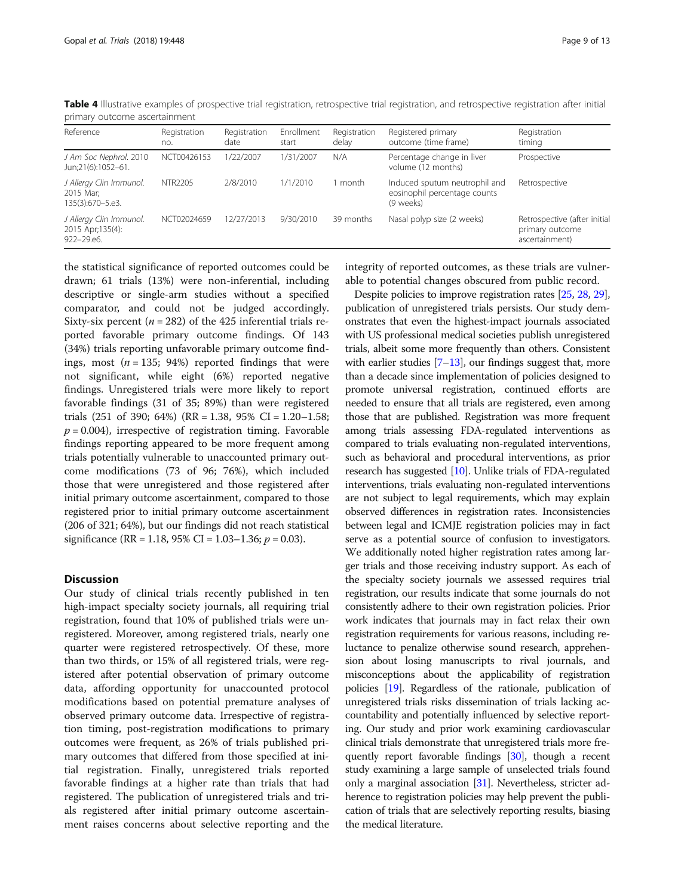| Reference                                                  | Registration<br>no. | Registration<br>date | Enrollment<br>start | Registration<br>delay | Registered primary<br>outcome (time frame)                                 | Registration<br>timing                                            |  |  |  |
|------------------------------------------------------------|---------------------|----------------------|---------------------|-----------------------|----------------------------------------------------------------------------|-------------------------------------------------------------------|--|--|--|
| J Am Soc Nephrol. 2010<br>Jun;21(6):1052-61.               | NCT00426153         | 1/22/2007            | 1/31/2007           | N/A                   | Percentage change in liver<br>volume (12 months)                           | Prospective                                                       |  |  |  |
| J Allergy Clin Immunol.<br>2015 Mar;<br>135(3):670-5.e3.   | NTR2205             | 2/8/2010             | 1/1/2010            | 1 month               | Induced sputum neutrophil and<br>eosinophil percentage counts<br>(9 weeks) | Retrospective                                                     |  |  |  |
| J Allergy Clin Immunol.<br>2015 Apr; 135(4):<br>922-29.e6. | NCT02024659         | 12/27/2013           | 9/30/2010           | 39 months             | Nasal polyp size (2 weeks)                                                 | Retrospective (after initial<br>primary outcome<br>ascertainment) |  |  |  |

<span id="page-8-0"></span>Table 4 Illustrative examples of prospective trial registration, retrospective trial registration, and retrospective registration after initial primary outcome ascertainment

the statistical significance of reported outcomes could be drawn; 61 trials (13%) were non-inferential, including descriptive or single-arm studies without a specified comparator, and could not be judged accordingly. Sixty-six percent ( $n = 282$ ) of the 425 inferential trials reported favorable primary outcome findings. Of 143 (34%) trials reporting unfavorable primary outcome findings, most ( $n = 135$ ; 94%) reported findings that were not significant, while eight (6%) reported negative findings. Unregistered trials were more likely to report favorable findings (31 of 35; 89%) than were registered trials  $(251 \text{ of } 390; 64\%)$   $(RR = 1.38, 95\% \text{ CI} = 1.20 - 1.58;$  $p = 0.004$ ), irrespective of registration timing. Favorable findings reporting appeared to be more frequent among trials potentially vulnerable to unaccounted primary outcome modifications (73 of 96; 76%), which included those that were unregistered and those registered after initial primary outcome ascertainment, compared to those registered prior to initial primary outcome ascertainment (206 of 321; 64%), but our findings did not reach statistical significance (RR = 1.18, 95% CI = 1.03–1.36;  $p = 0.03$ ).

# **Discussion**

Our study of clinical trials recently published in ten high-impact specialty society journals, all requiring trial registration, found that 10% of published trials were unregistered. Moreover, among registered trials, nearly one quarter were registered retrospectively. Of these, more than two thirds, or 15% of all registered trials, were registered after potential observation of primary outcome data, affording opportunity for unaccounted protocol modifications based on potential premature analyses of observed primary outcome data. Irrespective of registration timing, post-registration modifications to primary outcomes were frequent, as 26% of trials published primary outcomes that differed from those specified at initial registration. Finally, unregistered trials reported favorable findings at a higher rate than trials that had registered. The publication of unregistered trials and trials registered after initial primary outcome ascertainment raises concerns about selective reporting and the

integrity of reported outcomes, as these trials are vulnerable to potential changes obscured from public record.

Despite policies to improve registration rates [\[25,](#page-11-0) [28](#page-12-0), [29](#page-12-0)], publication of unregistered trials persists. Our study demonstrates that even the highest-impact journals associated with US professional medical societies publish unregistered trials, albeit some more frequently than others. Consistent with earlier studies  $[7-13]$  $[7-13]$  $[7-13]$  $[7-13]$ , our findings suggest that, more than a decade since implementation of policies designed to promote universal registration, continued efforts are needed to ensure that all trials are registered, even among those that are published. Registration was more frequent among trials assessing FDA-regulated interventions as compared to trials evaluating non-regulated interventions, such as behavioral and procedural interventions, as prior research has suggested [[10](#page-11-0)]. Unlike trials of FDA-regulated interventions, trials evaluating non-regulated interventions are not subject to legal requirements, which may explain observed differences in registration rates. Inconsistencies between legal and ICMJE registration policies may in fact serve as a potential source of confusion to investigators. We additionally noted higher registration rates among larger trials and those receiving industry support. As each of the specialty society journals we assessed requires trial registration, our results indicate that some journals do not consistently adhere to their own registration policies. Prior work indicates that journals may in fact relax their own registration requirements for various reasons, including reluctance to penalize otherwise sound research, apprehension about losing manuscripts to rival journals, and misconceptions about the applicability of registration policies [\[19\]](#page-11-0). Regardless of the rationale, publication of unregistered trials risks dissemination of trials lacking accountability and potentially influenced by selective reporting. Our study and prior work examining cardiovascular clinical trials demonstrate that unregistered trials more fre-quently report favorable findings [\[30\]](#page-12-0), though a recent study examining a large sample of unselected trials found only a marginal association [[31](#page-12-0)]. Nevertheless, stricter adherence to registration policies may help prevent the publication of trials that are selectively reporting results, biasing the medical literature.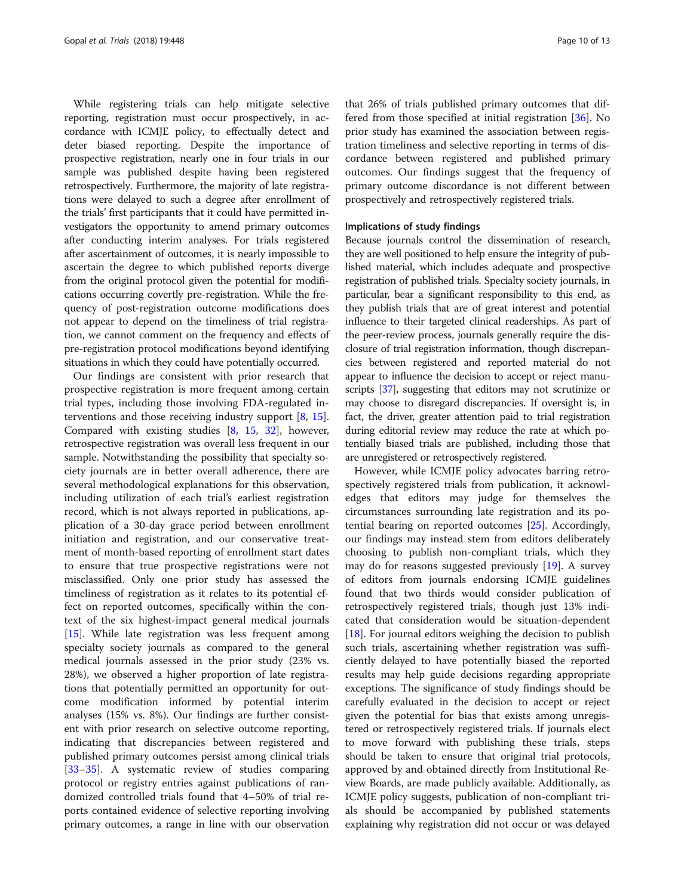While registering trials can help mitigate selective reporting, registration must occur prospectively, in accordance with ICMJE policy, to effectually detect and deter biased reporting. Despite the importance of prospective registration, nearly one in four trials in our sample was published despite having been registered retrospectively. Furthermore, the majority of late registrations were delayed to such a degree after enrollment of the trials' first participants that it could have permitted investigators the opportunity to amend primary outcomes after conducting interim analyses. For trials registered after ascertainment of outcomes, it is nearly impossible to ascertain the degree to which published reports diverge from the original protocol given the potential for modifications occurring covertly pre-registration. While the frequency of post-registration outcome modifications does not appear to depend on the timeliness of trial registration, we cannot comment on the frequency and effects of pre-registration protocol modifications beyond identifying situations in which they could have potentially occurred.

Our findings are consistent with prior research that prospective registration is more frequent among certain trial types, including those involving FDA-regulated interventions and those receiving industry support [[8,](#page-11-0) [15](#page-11-0)]. Compared with existing studies [\[8](#page-11-0), [15,](#page-11-0) [32\]](#page-12-0), however, retrospective registration was overall less frequent in our sample. Notwithstanding the possibility that specialty society journals are in better overall adherence, there are several methodological explanations for this observation, including utilization of each trial's earliest registration record, which is not always reported in publications, application of a 30-day grace period between enrollment initiation and registration, and our conservative treatment of month-based reporting of enrollment start dates to ensure that true prospective registrations were not misclassified. Only one prior study has assessed the timeliness of registration as it relates to its potential effect on reported outcomes, specifically within the context of the six highest-impact general medical journals [[15\]](#page-11-0). While late registration was less frequent among specialty society journals as compared to the general medical journals assessed in the prior study (23% vs. 28%), we observed a higher proportion of late registrations that potentially permitted an opportunity for outcome modification informed by potential interim analyses (15% vs. 8%). Our findings are further consistent with prior research on selective outcome reporting, indicating that discrepancies between registered and published primary outcomes persist among clinical trials [[33](#page-12-0)–[35](#page-12-0)]. A systematic review of studies comparing protocol or registry entries against publications of randomized controlled trials found that 4–50% of trial reports contained evidence of selective reporting involving primary outcomes, a range in line with our observation that 26% of trials published primary outcomes that differed from those specified at initial registration [\[36](#page-12-0)]. No prior study has examined the association between registration timeliness and selective reporting in terms of discordance between registered and published primary outcomes. Our findings suggest that the frequency of primary outcome discordance is not different between prospectively and retrospectively registered trials.

# Implications of study findings

Because journals control the dissemination of research, they are well positioned to help ensure the integrity of published material, which includes adequate and prospective registration of published trials. Specialty society journals, in particular, bear a significant responsibility to this end, as they publish trials that are of great interest and potential influence to their targeted clinical readerships. As part of the peer-review process, journals generally require the disclosure of trial registration information, though discrepancies between registered and reported material do not appear to influence the decision to accept or reject manuscripts [\[37\]](#page-12-0), suggesting that editors may not scrutinize or may choose to disregard discrepancies. If oversight is, in fact, the driver, greater attention paid to trial registration during editorial review may reduce the rate at which potentially biased trials are published, including those that are unregistered or retrospectively registered.

However, while ICMJE policy advocates barring retrospectively registered trials from publication, it acknowledges that editors may judge for themselves the circumstances surrounding late registration and its potential bearing on reported outcomes [\[25\]](#page-11-0). Accordingly, our findings may instead stem from editors deliberately choosing to publish non-compliant trials, which they may do for reasons suggested previously  $[19]$ . A survey of editors from journals endorsing ICMJE guidelines found that two thirds would consider publication of retrospectively registered trials, though just 13% indicated that consideration would be situation-dependent [[18\]](#page-11-0). For journal editors weighing the decision to publish such trials, ascertaining whether registration was sufficiently delayed to have potentially biased the reported results may help guide decisions regarding appropriate exceptions. The significance of study findings should be carefully evaluated in the decision to accept or reject given the potential for bias that exists among unregistered or retrospectively registered trials. If journals elect to move forward with publishing these trials, steps should be taken to ensure that original trial protocols, approved by and obtained directly from Institutional Review Boards, are made publicly available. Additionally, as ICMJE policy suggests, publication of non-compliant trials should be accompanied by published statements explaining why registration did not occur or was delayed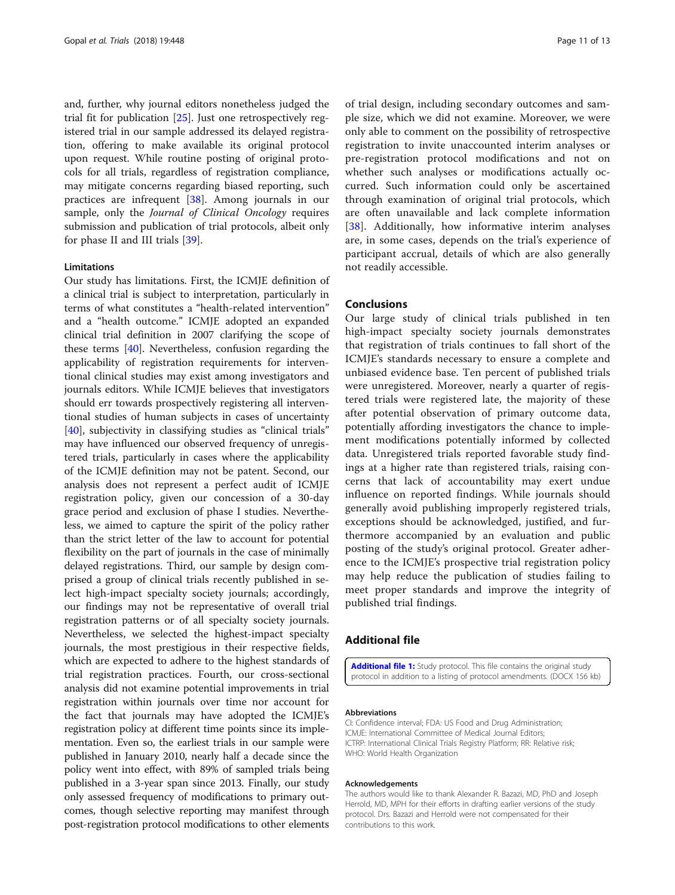<span id="page-10-0"></span>and, further, why journal editors nonetheless judged the trial fit for publication [[25\]](#page-11-0). Just one retrospectively registered trial in our sample addressed its delayed registration, offering to make available its original protocol upon request. While routine posting of original protocols for all trials, regardless of registration compliance, may mitigate concerns regarding biased reporting, such practices are infrequent [[38](#page-12-0)]. Among journals in our sample, only the *Journal of Clinical Oncology* requires submission and publication of trial protocols, albeit only for phase II and III trials [[39\]](#page-12-0).

#### Limitations

Our study has limitations. First, the ICMJE definition of a clinical trial is subject to interpretation, particularly in terms of what constitutes a "health-related intervention" and a "health outcome." ICMJE adopted an expanded clinical trial definition in 2007 clarifying the scope of these terms [[40](#page-12-0)]. Nevertheless, confusion regarding the applicability of registration requirements for interventional clinical studies may exist among investigators and journals editors. While ICMJE believes that investigators should err towards prospectively registering all interventional studies of human subjects in cases of uncertainty [[40\]](#page-12-0), subjectivity in classifying studies as "clinical trials" may have influenced our observed frequency of unregistered trials, particularly in cases where the applicability of the ICMJE definition may not be patent. Second, our analysis does not represent a perfect audit of ICMJE registration policy, given our concession of a 30-day grace period and exclusion of phase I studies. Nevertheless, we aimed to capture the spirit of the policy rather than the strict letter of the law to account for potential flexibility on the part of journals in the case of minimally delayed registrations. Third, our sample by design comprised a group of clinical trials recently published in select high-impact specialty society journals; accordingly, our findings may not be representative of overall trial registration patterns or of all specialty society journals. Nevertheless, we selected the highest-impact specialty journals, the most prestigious in their respective fields, which are expected to adhere to the highest standards of trial registration practices. Fourth, our cross-sectional analysis did not examine potential improvements in trial registration within journals over time nor account for the fact that journals may have adopted the ICMJE's registration policy at different time points since its implementation. Even so, the earliest trials in our sample were published in January 2010, nearly half a decade since the policy went into effect, with 89% of sampled trials being published in a 3-year span since 2013. Finally, our study only assessed frequency of modifications to primary outcomes, though selective reporting may manifest through post-registration protocol modifications to other elements

of trial design, including secondary outcomes and sample size, which we did not examine. Moreover, we were only able to comment on the possibility of retrospective registration to invite unaccounted interim analyses or pre-registration protocol modifications and not on whether such analyses or modifications actually occurred. Such information could only be ascertained through examination of original trial protocols, which are often unavailable and lack complete information [[38\]](#page-12-0). Additionally, how informative interim analyses are, in some cases, depends on the trial's experience of participant accrual, details of which are also generally not readily accessible.

# **Conclusions**

Our large study of clinical trials published in ten high-impact specialty society journals demonstrates that registration of trials continues to fall short of the ICMJE's standards necessary to ensure a complete and unbiased evidence base. Ten percent of published trials were unregistered. Moreover, nearly a quarter of registered trials were registered late, the majority of these after potential observation of primary outcome data, potentially affording investigators the chance to implement modifications potentially informed by collected data. Unregistered trials reported favorable study findings at a higher rate than registered trials, raising concerns that lack of accountability may exert undue influence on reported findings. While journals should generally avoid publishing improperly registered trials, exceptions should be acknowledged, justified, and furthermore accompanied by an evaluation and public posting of the study's original protocol. Greater adherence to the ICMJE's prospective trial registration policy may help reduce the publication of studies failing to meet proper standards and improve the integrity of published trial findings.

# Additional file

[Additional file 1:](https://doi.org/10.1186/s13063-018-2825-y) Study protocol. This file contains the original study protocol in addition to a listing of protocol amendments. (DOCX 156 kb)

# Abbreviations

CI: Confidence interval; FDA: US Food and Drug Administration; ICMJE: International Committee of Medical Journal Editors; ICTRP: International Clinical Trials Registry Platform; RR: Relative risk; WHO: World Health Organization

#### Acknowledgements

The authors would like to thank Alexander R. Bazazi, MD, PhD and Joseph Herrold, MD, MPH for their efforts in drafting earlier versions of the study protocol. Drs. Bazazi and Herrold were not compensated for their contributions to this work.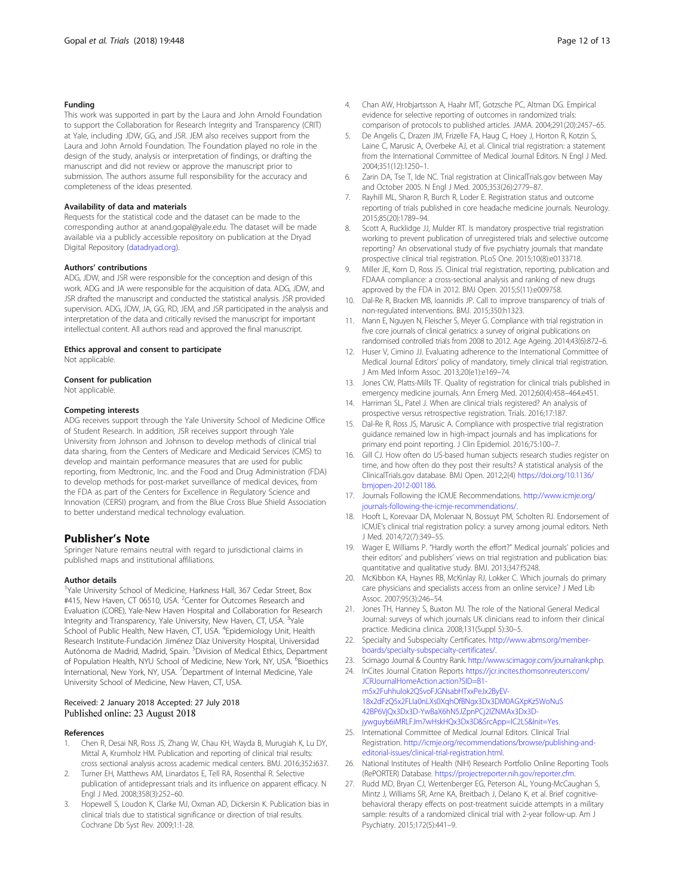### <span id="page-11-0"></span>Funding

This work was supported in part by the Laura and John Arnold Foundation to support the Collaboration for Research Integrity and Transparency (CRIT) at Yale, including JDW, GG, and JSR. JEM also receives support from the Laura and John Arnold Foundation. The Foundation played no role in the design of the study, analysis or interpretation of findings, or drafting the manuscript and did not review or approve the manuscript prior to submission. The authors assume full responsibility for the accuracy and completeness of the ideas presented.

#### Availability of data and materials

Requests for the statistical code and the dataset can be made to the corresponding author at anand.gopal@yale.edu. The dataset will be made available via a publicly accessible repository on publication at the Dryad Digital Repository ([datadryad.org](http://datadryad.org)).

#### Authors' contributions

ADG, JDW, and JSR were responsible for the conception and design of this work. ADG and JA were responsible for the acquisition of data. ADG, JDW, and JSR drafted the manuscript and conducted the statistical analysis. JSR provided supervision. ADG, JDW, JA, GG, RD, JEM, and JSR participated in the analysis and interpretation of the data and critically revised the manuscript for important intellectual content. All authors read and approved the final manuscript.

#### Ethics approval and consent to participate

Not applicable.

#### Consent for publication

Not applicable.

#### Competing interests

ADG receives support through the Yale University School of Medicine Office of Student Research. In addition, JSR receives support through Yale University from Johnson and Johnson to develop methods of clinical trial data sharing, from the Centers of Medicare and Medicaid Services (CMS) to develop and maintain performance measures that are used for public reporting, from Medtronic, Inc. and the Food and Drug Administration (FDA) to develop methods for post-market surveillance of medical devices, from the FDA as part of the Centers for Excellence in Regulatory Science and Innovation (CERSI) program, and from the Blue Cross Blue Shield Association to better understand medical technology evaluation.

# Publisher's Note

Springer Nature remains neutral with regard to jurisdictional claims in published maps and institutional affiliations.

#### Author details

<sup>1</sup>Yale University School of Medicine, Harkness Hall, 367 Cedar Street, Box #415, New Haven, CT 06510, USA. <sup>2</sup>Center for Outcomes Research and Evaluation (CORE), Yale-New Haven Hospital and Collaboration for Research Integrity and Transparency, Yale University, New Haven, CT, USA. <sup>3</sup>Yale School of Public Health, New Haven, CT, USA. <sup>4</sup>Epidemiology Unit, Health Research Institute-Fundación Jiménez Díaz University Hospital, Universidad Autónoma de Madrid, Madrid, Spain. <sup>5</sup>Division of Medical Ethics, Department of Population Health, NYU School of Medicine, New York, NY, USA. <sup>6</sup>Bioethics International, New York, NY, USA. <sup>7</sup>Department of Internal Medicine, Yale University School of Medicine, New Haven, CT, USA.

#### Received: 2 January 2018 Accepted: 27 July 2018 Published online: 23 August 2018

#### References

- 1. Chen R, Desai NR, Ross JS, Zhang W, Chau KH, Wayda B, Murugiah K, Lu DY, Mittal A, Krumholz HM. Publication and reporting of clinical trial results: cross sectional analysis across academic medical centers. BMJ. 2016;352:i637.
- 2. Turner EH, Matthews AM, Linardatos E, Tell RA, Rosenthal R. Selective publication of antidepressant trials and its influence on apparent efficacy. N Engl J Med. 2008;358(3):252–60.
- 3. Hopewell S, Loudon K, Clarke MJ, Oxman AD, Dickersin K. Publication bias in clinical trials due to statistical significance or direction of trial results. Cochrane Db Syst Rev. 2009;1:1-28.
- 4. Chan AW, Hrobjartsson A, Haahr MT, Gotzsche PC, Altman DG. Empirical evidence for selective reporting of outcomes in randomized trials: comparison of protocols to published articles. JAMA. 2004;291(20):2457–65.
- De Angelis C, Drazen JM, Frizelle FA, Haug C, Hoey J, Horton R, Kotzin S, Laine C, Marusic A, Overbeke AJ, et al. Clinical trial registration: a statement from the International Committee of Medical Journal Editors. N Engl J Med. 2004;351(12):1250–1.
- 6. Zarin DA, Tse T, Ide NC. Trial registration at ClinicalTrials.gov between May and October 2005. N Engl J Med. 2005;353(26):2779–87.
- 7. Rayhill ML, Sharon R, Burch R, Loder E. Registration status and outcome reporting of trials published in core headache medicine journals. Neurology. 2015;85(20):1789–94.
- 8. Scott A, Rucklidge JJ, Mulder RT. Is mandatory prospective trial registration working to prevent publication of unregistered trials and selective outcome reporting? An observational study of five psychiatry journals that mandate prospective clinical trial registration. PLoS One. 2015;10(8):e0133718.
- 9. Miller JE, Korn D, Ross JS. Clinical trial registration, reporting, publication and FDAAA compliance: a cross-sectional analysis and ranking of new drugs approved by the FDA in 2012. BMJ Open. 2015;5(11):e009758.
- 10. Dal-Re R, Bracken MB, Ioannidis JP. Call to improve transparency of trials of non-regulated interventions. BMJ. 2015;350:h1323.
- 11. Mann E, Nguyen N, Fleischer S, Meyer G. Compliance with trial registration in five core journals of clinical geriatrics: a survey of original publications on randomised controlled trials from 2008 to 2012. Age Ageing. 2014;43(6):872–6.
- 12. Huser V, Cimino JJ. Evaluating adherence to the International Committee of Medical Journal Editors' policy of mandatory, timely clinical trial registration. J Am Med Inform Assoc. 2013;20(e1):e169–74.
- 13. Jones CW, Platts-Mills TF. Quality of registration for clinical trials published in emergency medicine journals. Ann Emerg Med. 2012;60(4):458–464.e451.
- 14. Harriman SL, Patel J. When are clinical trials registered? An analysis of prospective versus retrospective registration. Trials. 2016;17:187.
- 15. Dal-Re R, Ross JS, Marusic A. Compliance with prospective trial registration guidance remained low in high-impact journals and has implications for primary end point reporting. J Clin Epidemiol. 2016;75:100–7.
- 16. Gill CJ. How often do US-based human subjects research studies register on time, and how often do they post their results? A statistical analysis of the ClinicalTrials.gov database. BMJ Open. 2012;2(4) [https://doi.org/10.1136/](https://doi.org/10.1136/bmjopen-2012-001186) [bmjopen-2012-001186.](https://doi.org/10.1136/bmjopen-2012-001186)
- 17. Journals Following the ICMJE Recommendations. [http://www.icmje.org/](http://www.icmje.org/journals-following-the-icmje-recommendations) [journals-following-the-icmje-recommendations/.](http://www.icmje.org/journals-following-the-icmje-recommendations)
- 18. Hooft L, Korevaar DA, Molenaar N, Bossuyt PM, Scholten RJ. Endorsement of ICMJE's clinical trial registration policy: a survey among journal editors. Neth J Med. 2014;72(7):349–55.
- 19. Wager E, Williams P. "Hardly worth the effort?" Medical journals' policies and their editors' and publishers' views on trial registration and publication bias: quantitative and qualitative study. BMJ. 2013;347:f5248.
- 20. McKibbon KA, Haynes RB, McKinlay RJ, Lokker C. Which journals do primary care physicians and specialists access from an online service? J Med Lib Assoc. 2007;95(3):246–54.
- 21. Jones TH, Hanney S, Buxton MJ. The role of the National General Medical Journal: surveys of which journals UK clinicians read to inform their clinical practice. Medicina clinica. 2008;131(Suppl 5):30–5.
- 22. Specialty and Subspecialty Certificates. [http://www.abms.org/member](http://www.abms.org/member-boards/specialty-subspecialty-certificates)[boards/specialty-subspecialty-certificates/](http://www.abms.org/member-boards/specialty-subspecialty-certificates).
- 23. Scimago Journal & Country Rank. <http://www.scimagojr.com/journalrank.php>.
- 24. InCites Journal Citation Reports [https://jcr.incites.thomsonreuters.com/](https://jcr.incites.thomsonreuters.com/JCRJournalHomeAction.action?SID=B1-m5x2Fuhhulok2QSvoFJGNsabHTxxPeJx2ByEV-18x2dFzQ5x2FLIa0nLXs0XqhOfBNgx3Dx3DM0AGXpKz5WoNuS42BP6VjQx3Dx3D-YwBaX6hN5JZpnPCj2lZNMAx3Dx3D-jywguyb6iMRLFJm7wHskHQx3Dx3D&SrcApp=IC2LS&Init=Yes) [JCRJournalHomeAction.action?SID=B1](https://jcr.incites.thomsonreuters.com/JCRJournalHomeAction.action?SID=B1-m5x2Fuhhulok2QSvoFJGNsabHTxxPeJx2ByEV-18x2dFzQ5x2FLIa0nLXs0XqhOfBNgx3Dx3DM0AGXpKz5WoNuS42BP6VjQx3Dx3D-YwBaX6hN5JZpnPCj2lZNMAx3Dx3D-jywguyb6iMRLFJm7wHskHQx3Dx3D&SrcApp=IC2LS&Init=Yes) [m5x2Fuhhulok2QSvoFJGNsabHTxxPeJx2ByEV-](https://jcr.incites.thomsonreuters.com/JCRJournalHomeAction.action?SID=B1-m5x2Fuhhulok2QSvoFJGNsabHTxxPeJx2ByEV-18x2dFzQ5x2FLIa0nLXs0XqhOfBNgx3Dx3DM0AGXpKz5WoNuS42BP6VjQx3Dx3D-YwBaX6hN5JZpnPCj2lZNMAx3Dx3D-jywguyb6iMRLFJm7wHskHQx3Dx3D&SrcApp=IC2LS&Init=Yes)[18x2dFzQ5x2FLIa0nLXs0XqhOfBNgx3Dx3DM0AGXpKz5WoNuS](https://jcr.incites.thomsonreuters.com/JCRJournalHomeAction.action?SID=B1-m5x2Fuhhulok2QSvoFJGNsabHTxxPeJx2ByEV-18x2dFzQ5x2FLIa0nLXs0XqhOfBNgx3Dx3DM0AGXpKz5WoNuS42BP6VjQx3Dx3D-YwBaX6hN5JZpnPCj2lZNMAx3Dx3D-jywguyb6iMRLFJm7wHskHQx3Dx3D&SrcApp=IC2LS&Init=Yes) [42BP6VjQx3Dx3D-YwBaX6hN5JZpnPCj2lZNMAx3Dx3D](https://jcr.incites.thomsonreuters.com/JCRJournalHomeAction.action?SID=B1-m5x2Fuhhulok2QSvoFJGNsabHTxxPeJx2ByEV-18x2dFzQ5x2FLIa0nLXs0XqhOfBNgx3Dx3DM0AGXpKz5WoNuS42BP6VjQx3Dx3D-YwBaX6hN5JZpnPCj2lZNMAx3Dx3D-jywguyb6iMRLFJm7wHskHQx3Dx3D&SrcApp=IC2LS&Init=Yes)[jywguyb6iMRLFJm7wHskHQx3Dx3D&SrcApp=IC2LS&Init=Yes.](https://jcr.incites.thomsonreuters.com/JCRJournalHomeAction.action?SID=B1-m5x2Fuhhulok2QSvoFJGNsabHTxxPeJx2ByEV-18x2dFzQ5x2FLIa0nLXs0XqhOfBNgx3Dx3DM0AGXpKz5WoNuS42BP6VjQx3Dx3D-YwBaX6hN5JZpnPCj2lZNMAx3Dx3D-jywguyb6iMRLFJm7wHskHQx3Dx3D&SrcApp=IC2LS&Init=Yes)
- 25. International Committee of Medical Journal Editors. Clinical Trial Registration. [http://icmje.org/recommendations/browse/publishing-and](http://icmje.org/recommendations/browse/publishing-and-editorial-issues/clinical-trial-registration.html)[editorial-issues/clinical-trial-registration.html.](http://icmje.org/recommendations/browse/publishing-and-editorial-issues/clinical-trial-registration.html)
- 26. National Institutes of Health (NIH) Research Portfolio Online Reporting Tools (RePORTER) Database. [https://projectreporter.nih.gov/reporter.cfm.](https://projectreporter.nih.gov/reporter.cfm)
- 27. Rudd MD, Bryan CJ, Wertenberger EG, Peterson AL, Young-McCaughan S, Mintz J, Williams SR, Arne KA, Breitbach J, Delano K, et al. Brief cognitivebehavioral therapy effects on post-treatment suicide attempts in a military sample: results of a randomized clinical trial with 2-year follow-up. Am J Psychiatry. 2015;172(5):441–9.